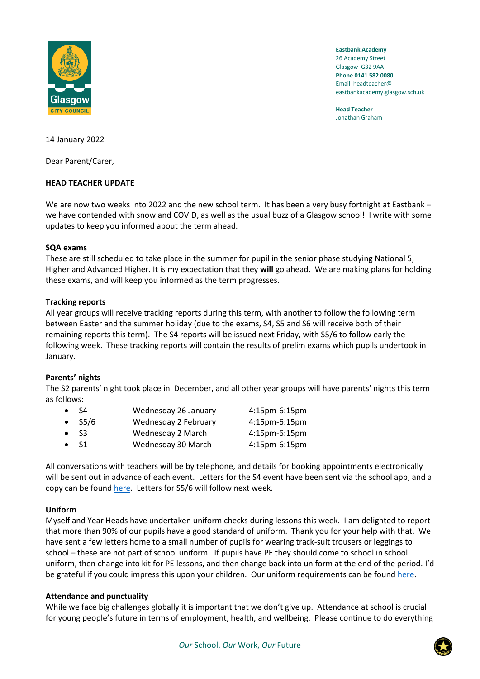

**Eastbank Academy** 26 Academy Street Glasgow G32 9AA **Phone 0141 582 0080** Email headteacher@ eastbankacademy.glasgow.sch.uk

**Head Teacher** Jonathan Graham

14 January 2022

Dear Parent/Carer,

# **HEAD TEACHER UPDATE**

We are now two weeks into 2022 and the new school term. It has been a very busy fortnight at Eastbank – we have contended with snow and COVID, as well as the usual buzz of a Glasgow school! I write with some updates to keep you informed about the term ahead.

### **SQA exams**

These are still scheduled to take place in the summer for pupil in the senior phase studying National 5, Higher and Advanced Higher. It is my expectation that they **will** go ahead. We are making plans for holding these exams, and will keep you informed as the term progresses.

# **Tracking reports**

All year groups will receive tracking reports during this term, with another to follow the following term between Easter and the summer holiday (due to the exams, S4, S5 and S6 will receive both of their remaining reports this term). The S4 reports will be issued next Friday, with S5/6 to follow early the following week. These tracking reports will contain the results of prelim exams which pupils undertook in January.

# **Parents' nights**

The S2 parents' night took place in December, and all other year groups will have parents' nights this term as follows:

| $\bullet$ S4   | Wednesday 26 January | 4:15pm-6:15pm    |
|----------------|----------------------|------------------|
| $\bullet$ S5/6 | Wednesday 2 February | 4:15pm-6:15pm    |
| $\bullet$ S3   | Wednesday 2 March    | $4:15$ pm-6:15pm |
| $\bullet$ S1   | Wednesday 30 March   | 4:15pm-6:15pm    |

All conversations with teachers will be by telephone, and details for booking appointments electronically will be sent out in advance of each event. Letters for the S4 event have been sent via the school app, and a copy can be found [here.](https://manage.appscentral.co.uk/uploads/client/documents/4306/0ee1_S4%20Parents%20Evening%20Invite%20Letter%20-%20Telephone%20Calls.pdf) Letters for S5/6 will follow next week.

# **Uniform**

Myself and Year Heads have undertaken uniform checks during lessons this week. I am delighted to report that more than 90% of our pupils have a good standard of uniform. Thank you for your help with that. We have sent a few letters home to a small number of pupils for wearing track-suit trousers or leggings to school – these are not part of school uniform. If pupils have PE they should come to school in school uniform, then change into kit for PE lessons, and then change back into uniform at the end of the period. I'd be grateful if you could impress this upon your children. Our uniform requirements can be found [here.](https://manage.appscentral.co.uk/uploads/client/documents/4306/105a_Uniform%20leaflet.pdf)

### **Attendance and punctuality**

While we face big challenges globally it is important that we don't give up. Attendance at school is crucial for young people's future in terms of employment, health, and wellbeing. Please continue to do everything